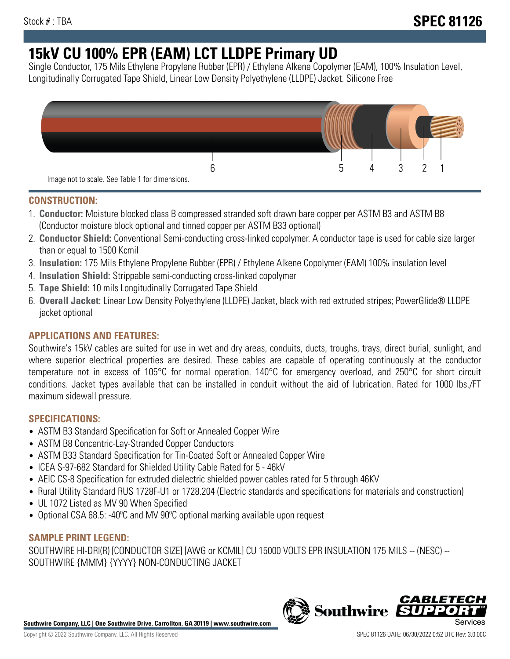# **15kV CU 100% EPR (EAM) LCT LLDPE Primary UD**

Single Conductor, 175 Mils Ethylene Propylene Rubber (EPR) / Ethylene Alkene Copolymer (EAM), 100% Insulation Level, Longitudinally Corrugated Tape Shield, Linear Low Density Polyethylene (LLDPE) Jacket. Silicone Free



# **CONSTRUCTION:**

- 1. **Conductor:** Moisture blocked class B compressed stranded soft drawn bare copper per ASTM B3 and ASTM B8 (Conductor moisture block optional and tinned copper per ASTM B33 optional)
- 2. **Conductor Shield:** Conventional Semi-conducting cross-linked copolymer. A conductor tape is used for cable size larger than or equal to 1500 Kcmil
- 3. **Insulation:** 175 Mils Ethylene Propylene Rubber (EPR) / Ethylene Alkene Copolymer (EAM) 100% insulation level
- 4. **Insulation Shield:** Strippable semi-conducting cross-linked copolymer
- 5. **Tape Shield:** 10 mils Longitudinally Corrugated Tape Shield
- 6. **Overall Jacket:** Linear Low Density Polyethylene (LLDPE) Jacket, black with red extruded stripes; PowerGlide® LLDPE jacket optional

# **APPLICATIONS AND FEATURES:**

Southwire's 15kV cables are suited for use in wet and dry areas, conduits, ducts, troughs, trays, direct burial, sunlight, and where superior electrical properties are desired. These cables are capable of operating continuously at the conductor temperature not in excess of 105°C for normal operation. 140°C for emergency overload, and 250°C for short circuit conditions. Jacket types available that can be installed in conduit without the aid of lubrication. Rated for 1000 lbs./FT maximum sidewall pressure.

# **SPECIFICATIONS:**

- ASTM B3 Standard Specification for Soft or Annealed Copper Wire
- ASTM B8 Concentric-Lay-Stranded Copper Conductors
- ASTM B33 Standard Specification for Tin-Coated Soft or Annealed Copper Wire
- ICEA S-97-682 Standard for Shielded Utility Cable Rated for 5 46kV
- AEIC CS-8 Specification for extruded dielectric shielded power cables rated for 5 through 46KV
- Rural Utility Standard RUS 1728F-U1 or 1728.204 (Electric standards and specifications for materials and construction)
- UL 1072 Listed as MV 90 When Specified
- Optional CSA 68.5: -40ºC and MV 90ºC optional marking available upon request

## **SAMPLE PRINT LEGEND:**

SOUTHWIRE HI-DRI(R) [CONDUCTOR SIZE] [AWG or KCMIL] CU 15000 VOLTS EPR INSULATION 175 MILS -- (NESC) -- SOUTHWIRE {MMM} {YYYY} NON-CONDUCTING JACKET